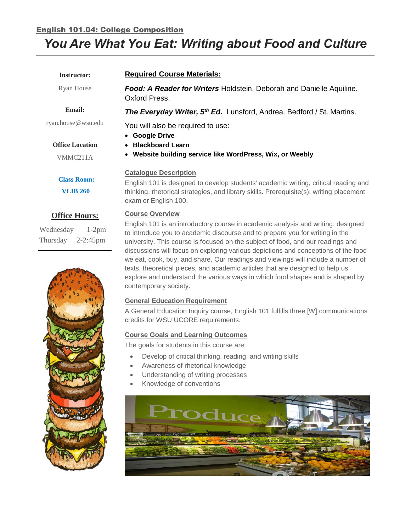# English 101.04: College Composition

# *You Are What You Eat: Writing about Food and Culture*

| <b>Instructor:</b>                                                        | <b>Required Course Materials:</b>                                                                                                                                                                                                                                             |  |  |
|---------------------------------------------------------------------------|-------------------------------------------------------------------------------------------------------------------------------------------------------------------------------------------------------------------------------------------------------------------------------|--|--|
| Ryan House                                                                | Food: A Reader for Writers Holdstein, Deborah and Danielle Aquiline.<br>Oxford Press.                                                                                                                                                                                         |  |  |
| <b>Email:</b>                                                             | The Everyday Writer, 5 <sup>th</sup> Ed. Lunsford, Andrea. Bedford / St. Martins.                                                                                                                                                                                             |  |  |
| ryan.house@wsu.edu                                                        | You will also be required to use:<br>• Google Drive                                                                                                                                                                                                                           |  |  |
| <b>Office Location</b>                                                    | • Blackboard Learn                                                                                                                                                                                                                                                            |  |  |
| VMMC211A                                                                  | • Website building service like WordPress, Wix, or Weebly                                                                                                                                                                                                                     |  |  |
| <b>Class Room:</b><br><b>VLIB 260</b>                                     | <b>Catalogue Description</b><br>English 101 is designed to develop students' academic writing, critical reading and<br>thinking, rhetorical strategies, and library skills. Prerequisite(s): writing placement<br>exam or English 100.                                        |  |  |
| <b>Office Hours:</b><br>Wednesday<br>$1-2pm$<br>Thursday<br>$2 - 2:45$ pm | <b>Course Overview</b><br>English 101 is an introductory course in academic analysis and writing, designed<br>to introduce you to academic discourse and to prepare you for writing in the<br>university. This course is focused on the subject of food, and our readings and |  |  |



#### **Course Goals and Learning Outcomes**

credits for WSU UCORE requirements.

**General Education Requirement**

The goals for students in this course are:

- Develop of critical thinking, reading, and writing skills
- Awareness of rhetorical knowledge
- Understanding of writing processes
- Knowledge of conventions

contemporary society.



discussions will focus on exploring various depictions and conceptions of the food we eat, cook, buy, and share. Our readings and viewings will include a number of texts, theoretical pieces, and academic articles that are designed to help us explore and understand the various ways in which food shapes and is shaped by

A General Education Inquiry course, English 101 fulfills three [W] communications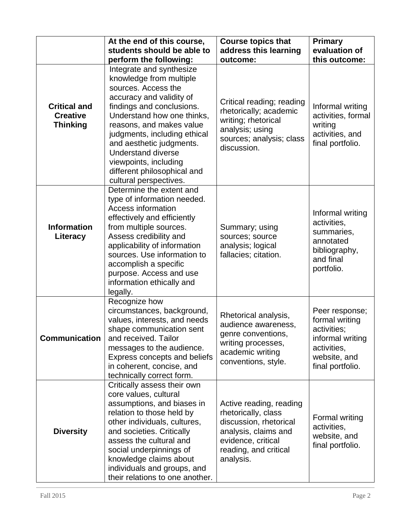|                                                           | At the end of this course,                                                                                                                                                                                                                                                                                                                   | <b>Course topics that</b>                                                                                                                                    | <b>Primary</b>                                                                                                         |
|-----------------------------------------------------------|----------------------------------------------------------------------------------------------------------------------------------------------------------------------------------------------------------------------------------------------------------------------------------------------------------------------------------------------|--------------------------------------------------------------------------------------------------------------------------------------------------------------|------------------------------------------------------------------------------------------------------------------------|
|                                                           | students should be able to                                                                                                                                                                                                                                                                                                                   | address this learning                                                                                                                                        | evaluation of                                                                                                          |
|                                                           | perform the following:                                                                                                                                                                                                                                                                                                                       | outcome:                                                                                                                                                     | this outcome:                                                                                                          |
|                                                           | Integrate and synthesize                                                                                                                                                                                                                                                                                                                     |                                                                                                                                                              |                                                                                                                        |
| <b>Critical and</b><br><b>Creative</b><br><b>Thinking</b> | knowledge from multiple<br>sources. Access the<br>accuracy and validity of<br>findings and conclusions.<br>Understand how one thinks,<br>reasons, and makes value<br>judgments, including ethical<br>and aesthetic judgments.<br><b>Understand diverse</b><br>viewpoints, including<br>different philosophical and<br>cultural perspectives. | Critical reading; reading<br>rhetorically; academic<br>writing; rhetorical<br>analysis; using<br>sources; analysis; class<br>discussion.                     | Informal writing<br>activities, formal<br>writing<br>activities, and<br>final portfolio.                               |
| <b>Information</b><br>Literacy                            | Determine the extent and<br>type of information needed.<br>Access information<br>effectively and efficiently<br>from multiple sources.<br>Assess credibility and<br>applicability of information<br>sources. Use information to<br>accomplish a specific<br>purpose. Access and use<br>information ethically and<br>legally.                 | Summary; using<br>sources; source<br>analysis; logical<br>fallacies; citation.                                                                               | Informal writing<br>activities,<br>summaries,<br>annotated<br>bibliography,<br>and final<br>portfolio.                 |
| <b>Communication</b>                                      | Recognize how<br>circumstances, background,<br>values, interests, and needs<br>shape communication sent<br>and received. Tailor<br>messages to the audience.<br>Express concepts and beliefs<br>in coherent, concise, and<br>technically correct form.                                                                                       | Rhetorical analysis,<br>audience awareness,<br>genre conventions,<br>writing processes,<br>academic writing<br>conventions, style.                           | Peer response;<br>formal writing<br>activities;<br>informal writing<br>activities,<br>website, and<br>final portfolio. |
| <b>Diversity</b>                                          | Critically assess their own<br>core values, cultural<br>assumptions, and biases in<br>relation to those held by<br>other individuals, cultures,<br>and societies. Critically<br>assess the cultural and<br>social underpinnings of<br>knowledge claims about<br>individuals and groups, and<br>their relations to one another.               | Active reading, reading<br>rhetorically, class<br>discussion, rhetorical<br>analysis, claims and<br>evidence, critical<br>reading, and critical<br>analysis. | Formal writing<br>activities,<br>website, and<br>final portfolio.                                                      |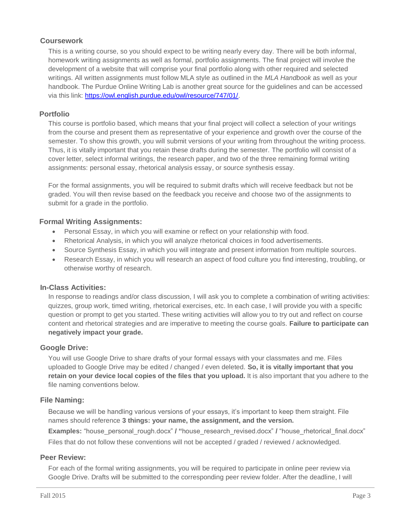# **Coursework**

This is a writing course, so you should expect to be writing nearly every day. There will be both informal, homework writing assignments as well as formal, portfolio assignments. The final project will involve the development of a website that will comprise your final portfolio along with other required and selected writings. All written assignments must follow MLA style as outlined in the *MLA Handbook* as well as your handbook. The Purdue Online Writing Lab is another great source for the guidelines and can be accessed via this link: [https://owl.english.purdue.edu/owl/resource/747/01/.](https://owl.english.purdue.edu/owl/resource/747/01/)

## **Portfolio**

This course is portfolio based, which means that your final project will collect a selection of your writings from the course and present them as representative of your experience and growth over the course of the semester. To show this growth, you will submit versions of your writing from throughout the writing process. Thus, it is vitally important that you retain these drafts during the semester. The portfolio will consist of a cover letter, select informal writings, the research paper, and two of the three remaining formal writing assignments: personal essay, rhetorical analysis essay, or source synthesis essay.

For the formal assignments, you will be required to submit drafts which will receive feedback but not be graded. You will then revise based on the feedback you receive and choose two of the assignments to submit for a grade in the portfolio.

## **Formal Writing Assignments:**

- Personal Essay, in which you will examine or reflect on your relationship with food.
- Rhetorical Analysis, in which you will analyze rhetorical choices in food advertisements.
- Source Synthesis Essay, in which you will integrate and present information from multiple sources.
- Research Essay, in which you will research an aspect of food culture you find interesting, troubling, or otherwise worthy of research.

## **In-Class Activities:**

In response to readings and/or class discussion, I will ask you to complete a combination of writing activities: quizzes, group work, timed writing, rhetorical exercises, etc. In each case, I will provide you with a specific question or prompt to get you started. These writing activities will allow you to try out and reflect on course content and rhetorical strategies and are imperative to meeting the course goals. **Failure to participate can negatively impact your grade.**

# **Google Drive:**

You will use Google Drive to share drafts of your formal essays with your classmates and me. Files uploaded to Google Drive may be edited / changed / even deleted. **So, it is vitally important that you retain on your device local copies of the files that you upload.** It is also important that you adhere to the file naming conventions below.

## **File Naming:**

Because we will be handling various versions of your essays, it's important to keep them straight. File names should reference **3 things: your name, the assignment, and the version.**

**Examples:** "house personal rough.docx" / "house research revised.docx" / "house rhetorical final.docx" Files that do not follow these conventions will not be accepted / graded / reviewed / acknowledged.

# **Peer Review:**

For each of the formal writing assignments, you will be required to participate in online peer review via Google Drive. Drafts will be submitted to the corresponding peer review folder. After the deadline, I will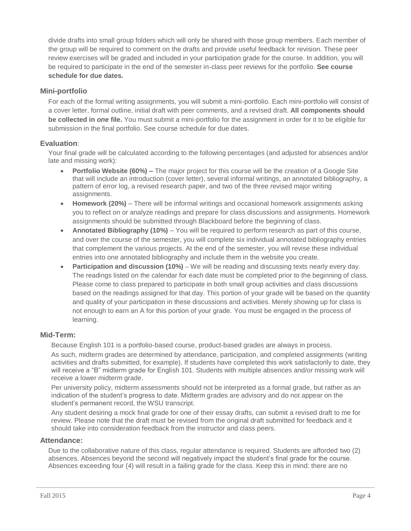divide drafts into small group folders which will only be shared with those group members. Each member of the group will be required to comment on the drafts and provide useful feedback for revision. These peer review exercises will be graded and included in your participation grade for the course. In addition, you will be required to participate in the end of the semester in-class peer reviews for the portfolio. **See course schedule for due dates.** 

# **Mini-portfolio**

For each of the formal writing assignments, you will submit a mini-portfolio. Each mini-portfolio will consist of a cover letter, formal outline, initial draft with peer comments, and a revised draft. **All components should be collected in** *one* **file.** You must submit a mini-portfolio for the assignment in order for it to be eligible for submission in the final portfolio. See course schedule for due dates.

# **Evaluation**:

Your final grade will be calculated according to the following percentages (and adjusted for absences and/or late and missing work):

- **Portfolio Website (60%) –** The major project for this course will be the creation of a Google Site that will include an introduction (cover letter), several informal writings, an annotated bibliography, a pattern of error log, a revised research paper, and two of the three revised major writing assignments.
- **Homework (20%)** There will be informal writings and occasional homework assignments asking you to reflect on or analyze readings and prepare for class discussions and assignments. Homework assignments should be submitted through Blackboard before the beginning of class.
- **Annotated Bibliography (10%)** You will be required to perform research as part of this course, and over the course of the semester, you will complete six individual annotated bibliography entries that complement the various projects. At the end of the semester, you will revise these individual entries into one annotated bibliography and include them in the website you create.
- **Participation and discussion (10%)** We will be reading and discussing texts nearly every day. The readings listed on the calendar for each date must be completed prior to the beginning of class. Please come to class prepared to participate in both small group activities and class discussions based on the readings assigned for that day. This portion of your grade will be based on the quantity and quality of your participation in these discussions and activities. Merely showing up for class is not enough to earn an A for this portion of your grade. You must be engaged in the process of learning.

# **Mid-Term:**

Because English 101 is a portfolio-based course, product-based grades are always in process.

As such, midterm grades are determined by attendance, participation, and completed assignments (writing activities and drafts submitted, for example). If students have completed this work satisfactorily to date, they will receive a "B" midterm grade for English 101. Students with multiple absences and/or missing work will receive a lower midterm grade.

Per university policy, midterm assessments should not be interpreted as a formal grade, but rather as an indication of the student's progress to date. Midterm grades are advisory and do not appear on the student's permanent record, the WSU transcript.

Any student desiring a mock final grade for one of their essay drafts, can submit a revised draft to me for review. Please note that the draft must be revised from the original draft submitted for feedback and it should take into consideration feedback from the instructor and class peers.

# **Attendance:**

Due to the collaborative nature of this class, regular attendance is required. Students are afforded two (2) absences. Absences beyond the second will negatively impact the student's final grade for the course. Absences exceeding four (4) will result in a failing grade for the class. Keep this in mind: there are no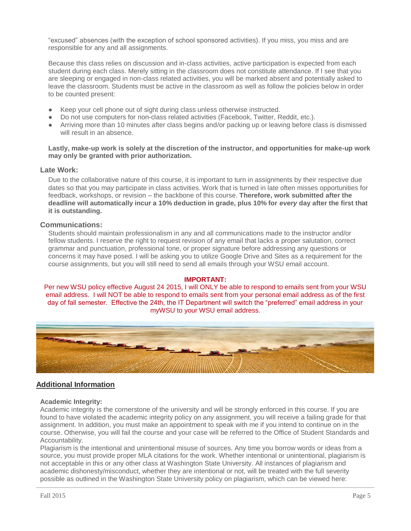"excused" absences (with the exception of school sponsored activities). If you miss, you miss and are responsible for any and all assignments.

Because this class relies on discussion and in-class activities, active participation is expected from each student during each class. Merely sitting in the classroom does not constitute attendance. If I see that you are sleeping or engaged in non-class related activities, you will be marked absent and potentially asked to leave the classroom. Students must be active in the classroom as well as follow the policies below in order to be counted present:

- Keep your cell phone out of sight during class unless otherwise instructed.
- Do not use computers for non-class related activities (Facebook, Twitter, Reddit, etc.).
- Arriving more than 10 minutes after class begins and/or packing up or leaving before class is dismissed will result in an absence.

#### **Lastly, make-up work is solely at the discretion of the instructor, and opportunities for make-up work may only be granted with prior authorization.**

#### **Late Work:**

Due to the collaborative nature of this course, it is important to turn in assignments by their respective due dates so that you may participate in class activities. Work that is turned in late often misses opportunities for feedback, workshops, or revision – the backbone of this course. **Therefore, work submitted after the deadline will automatically incur a 10% deduction in grade, plus 10% for** *every* **day after the first that it is outstanding.**

#### **Communications:**

Students should maintain professionalism in any and all communications made to the instructor and/or fellow students. I reserve the right to request revision of any email that lacks a proper salutation, correct grammar and punctuation, professional tone, or proper signature before addressing any questions or concerns it may have posed. I will be asking you to utilize Google Drive and Sites as a requirement for the course assignments, but you will still need to send all emails through your WSU email account.

#### **IMPORTANT:**

Per new WSU policy effective August 24 2015, I will ONLY be able to respond to emails sent from your WSU email address. I will NOT be able to respond to emails sent from your personal email address as of the first day of fall semester. Effective the 24th, the IT Department will switch the "preferred" email address in your myWSU to your WSU email address.



## **Additional Information**

#### **Academic Integrity:**

Academic integrity is the cornerstone of the university and will be strongly enforced in this course. If you are found to have violated the academic integrity policy on any assignment, you will receive a failing grade for that assignment. In addition, you must make an appointment to speak with me if you intend to continue on in the course. Otherwise, you will fail the course and your case will be referred to the Office of Student Standards and Accountability.

Plagiarism is the intentional and unintentional misuse of sources. Any time you borrow words or ideas from a source, you must provide proper MLA citations for the work. Whether intentional or unintentional, plagiarism is not acceptable in this or any other class at Washington State University. All instances of plagiarism and academic dishonesty/misconduct, whether they are intentional or not, will be treated with the full severity possible as outlined in the Washington State University policy on plagiarism, which can be viewed here: